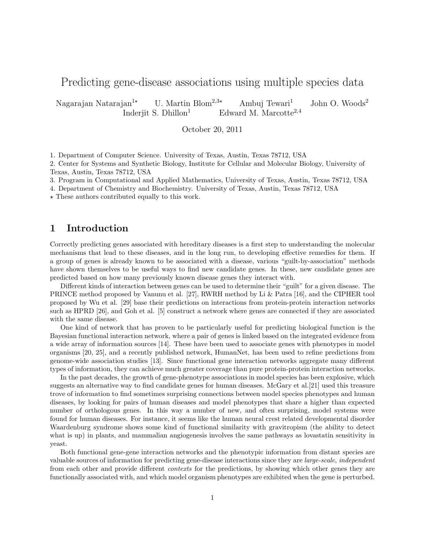# Predicting gene-disease associations using multiple species data

Nagarajan Natarajan<sup>1\*</sup> U. Martin Blom<sup>2,3\*</sup> Ambuj Tewari<sup>1</sup> John O. Woods<sup>2</sup> Inderjit S. Dhillon<sup>1</sup> Edward M. Marcotte<sup>2,4</sup>

October 20, 2011

1. Department of Computer Science. University of Texas, Austin, Texas 78712, USA

2. Center for Systems and Synthetic Biology, Institute for Cellular and Molecular Biology, University of Texas, Austin, Texas 78712, USA

3. Program in Computational and Applied Mathematics, University of Texas, Austin, Texas 78712, USA

4. Department of Chemistry and Biochemistry. University of Texas, Austin, Texas 78712, USA

 $\star$  These authors contributed equally to this work.

# 1 Introduction

Correctly predicting genes associated with hereditary diseases is a first step to understanding the molecular mechanisms that lead to these diseases, and in the long run, to developing effective remedies for them. If a group of genes is already known to be associated with a disease, various "guilt-by-association" methods have shown themselves to be useful ways to find new candidate genes. In these, new candidate genes are predicted based on how many previously known disease genes they interact with.

Different kinds of interaction between genes can be used to determine their "guilt" for a given disease. The PRINCE method proposed by Vanunu et al. [27], RWRH method by Li & Patra [16], and the CIPHER tool proposed by Wu et al. [29] base their predictions on interactions from protein-protein interaction networks such as HPRD [26], and Goh et al. [5] construct a network where genes are connected if they are associated with the same disease.

One kind of network that has proven to be particularly useful for predicting biological function is the Bayesian functional interaction network, where a pair of genes is linked based on the integrated evidence from a wide array of information sources [14]. These have been used to associate genes with phenotypes in model organisms [20, 25], and a recently published network, HumanNet, has been used to refine predictions from genome-wide association studies [13]. Since functional gene interaction networks aggregate many different types of information, they can achieve much greater coverage than pure protein-protein interaction networks.

In the past decades, the growth of gene-phenotype associations in model species has been explosive, which suggests an alternative way to find candidate genes for human diseases. McGary et al.[21] used this treasure trove of information to find sometimes surprising connections between model species phenotypes and human diseases, by looking for pairs of human diseases and model phenotypes that share a higher than expected number of orthologous genes. In this way a number of new, and often surprising, model systems were found for human diseases. For instance, it seems like the human neural crest related developmental disorder Waardenburg syndrome shows some kind of functional similarity with gravitropism (the ability to detect what is up) in plants, and mammalian angiogenesis involves the same pathways as lovastatin sensitivity in yeast.

Both functional gene-gene interaction networks and the phenotypic information from distant species are valuable sources of information for predicting gene-disease interactions since they are large-scale, independent from each other and provide different contexts for the predictions, by showing which other genes they are functionally associated with, and which model organism phenotypes are exhibited when the gene is perturbed.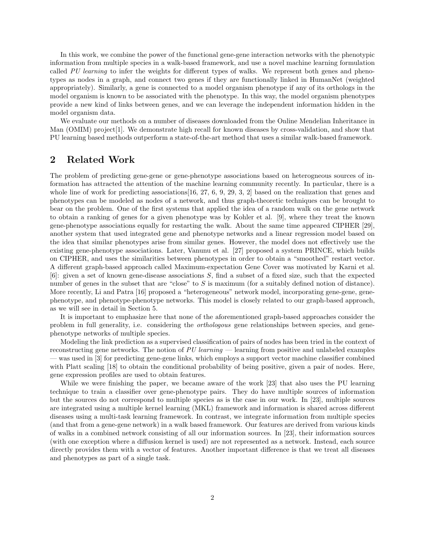In this work, we combine the power of the functional gene-gene interaction networks with the phenotypic information from multiple species in a walk-based framework, and use a novel machine learning formulation called PU learning to infer the weights for different types of walks. We represent both genes and phenotypes as nodes in a graph, and connect two genes if they are functionally linked in HumanNet (weighted appropriately). Similarly, a gene is connected to a model organism phenotype if any of its orthologs in the model organism is known to be associated with the phenotype. In this way, the model organism phenotypes provide a new kind of links between genes, and we can leverage the independent information hidden in the model organism data.

We evaluate our methods on a number of diseases downloaded from the Online Mendelian Inheritance in Man (OMIM) project[1]. We demonstrate high recall for known diseases by cross-validation, and show that PU learning based methods outperform a state-of-the-art method that uses a similar walk-based framework.

# 2 Related Work

The problem of predicting gene-gene or gene-phenotype associations based on heterogneous sources of information has attracted the attention of the machine learning community recently. In particular, there is a whole line of work for predicting associations [16, 27, 6, 9, 29, 3, 2] based on the realization that genes and phenotypes can be modeled as nodes of a network, and thus graph-theoretic techniques can be brought to bear on the problem. One of the first systems that applied the idea of a random walk on the gene network to obtain a ranking of genes for a given phenotype was by Kohler et al. [9], where they treat the known gene-phenotype associations equally for restarting the walk. About the same time appeared CIPHER [29], another system that used integrated gene and phenotype networks and a linear regression model based on the idea that similar phenotypes arise from similar genes. However, the model does not effectively use the existing gene-phenotype associations. Later, Vanunu et al. [27] proposed a system PRINCE, which builds on CIPHER, and uses the similarities between phenotypes in order to obtain a "smoothed" restart vector. A different graph-based approach called Maximum-expectation Gene Cover was motivated by Karni et al. [6]: given a set of known gene-disease associations S, find a subset of a fixed size, such that the expected number of genes in the subset that are "close" to S is maximum (for a suitably defined notion of distance). More recently, Li and Patra [16] proposed a "heterogeneous" network model, incorporating gene-gene, genephenotype, and phenotype-phenotype networks. This model is closely related to our graph-based approach, as we will see in detail in Section 5.

It is important to emphasize here that none of the aforementioned graph-based approaches consider the problem in full generality, i.e. considering the orthologous gene relationships between species, and genephenotype networks of multiple species.

Modeling the link prediction as a supervised classification of pairs of nodes has been tried in the context of reconstructing gene networks. The notion of PU learning — learning from positive and unlabeled examples — was used in [3] for predicting gene-gene links, which employs a support vector machine classifier combined with Platt scaling [18] to obtain the conditional probability of being positive, given a pair of nodes. Here, gene expression profiles are used to obtain features.

While we were finishing the paper, we became aware of the work [23] that also uses the PU learning technique to train a classifier over gene-phenotype pairs. They do have multiple sources of information but the sources do not correspond to multiple species as is the case in our work. In [23], multiple sources are integrated using a multiple kernel learning (MKL) framework and information is shared across different diseases using a multi-task learning framework. In contrast, we integrate information from multiple species (and that from a gene-gene network) in a walk based framework. Our features are derived from various kinds of walks in a combined network consisting of all our information sources. In [23], their information sources (with one exception where a diffusion kernel is used) are not represented as a network. Instead, each source directly provides them with a vector of features. Another important difference is that we treat all diseases and phenotypes as part of a single task.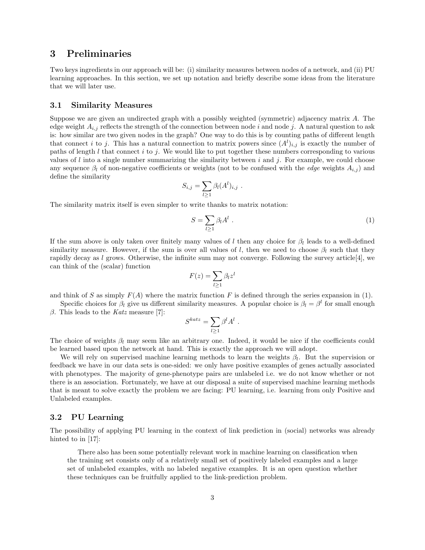# 3 Preliminaries

Two keys ingredients in our approach will be: (i) similarity measures between nodes of a network, and (ii) PU learning approaches. In this section, we set up notation and briefly describe some ideas from the literature that we will later use.

### 3.1 Similarity Measures

Suppose we are given an undirected graph with a possibly weighted (symmetric) adjacency matrix A. The edge weight  $A_{i,j}$  reflects the strength of the connection between node i and node j. A natural question to ask is: how similar are two given nodes in the graph? One way to do this is by counting paths of different length that connect i to j. This has a natural connection to matrix powers since  $(A^{l})_{i,j}$  is exactly the number of paths of length  $l$  that connect i to j. We would like to put together these numbers corresponding to various values of l into a single number summarizing the similarity between i and j. For example, we could choose any sequence  $\beta_l$  of non-negative coefficients or weights (not to be confused with the *edge* weights  $A_{i,j}$ ) and define the similarity

$$
S_{i,j} = \sum_{l \geq 1} \beta_l (A^l)_{i,j} .
$$

The similarity matrix itself is even simpler to write thanks to matrix notation:

$$
S = \sum_{l \ge 1} \beta_l A^l \tag{1}
$$

If the sum above is only taken over finitely many values of l then any choice for  $\beta_l$  leads to a well-defined similarity measure. However, if the sum is over all values of l, then we need to choose  $\beta_l$  such that they rapidly decay as l grows. Otherwise, the infinite sum may not converge. Following the survey article [4], we can think of the (scalar) function

$$
F(z) = \sum_{l \ge 1} \beta_l z^l
$$

and think of S as simply  $F(A)$  where the matrix function F is defined through the series expansion in (1).

Specific choices for  $\beta_l$  give us different similarity measures. A popular choice is  $\beta_l = \beta^l$  for small enough β. This leads to the Katz measure [7]:

$$
S^{katz} = \sum_{l \geq 1} \beta^l A^l.
$$

The choice of weights  $\beta_l$  may seem like an arbitrary one. Indeed, it would be nice if the coefficients could be learned based upon the network at hand. This is exactly the approach we will adopt.

We will rely on supervised machine learning methods to learn the weights  $\beta_l$ . But the supervision or feedback we have in our data sets is one-sided: we only have positive examples of genes actually associated with phenotypes. The majority of gene-phenotype pairs are unlabeled i.e. we do not know whether or not there is an association. Fortunately, we have at our disposal a suite of supervised machine learning methods that is meant to solve exactly the problem we are facing: PU learning, i.e. learning from only Positive and Unlabeled examples.

#### 3.2 PU Learning

The possibility of applying PU learning in the context of link prediction in (social) networks was already hinted to in [17]:

There also has been some potentially relevant work in machine learning on classification when the training set consists only of a relatively small set of positively labeled examples and a large set of unlabeled examples, with no labeled negative examples. It is an open question whether these techniques can be fruitfully applied to the link-prediction problem.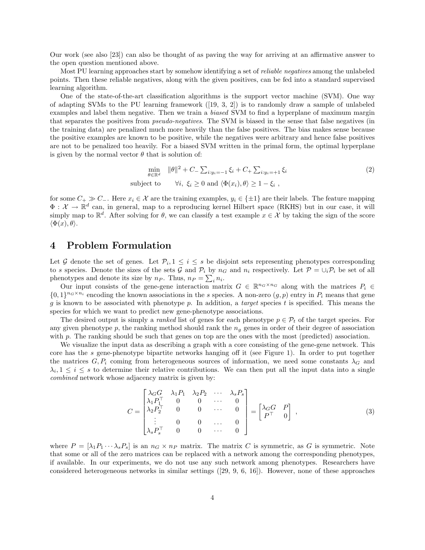Our work (see also [23]) can also be thought of as paving the way for arriving at an affirmative answer to the open question mentioned above.

Most PU learning approaches start by somehow identifying a set of *reliable negatives* among the unlabeled points. Then these reliable negatives, along with the given positives, can be fed into a standard supervised learning algorithm.

One of the state-of-the-art classification algorithms is the support vector machine (SVM). One way of adapting SVMs to the PU learning framework ([19, 3, 2]) is to randomly draw a sample of unlabeled examples and label them negative. Then we train a biased SVM to find a hyperplane of maximum margin that separates the positives from pseudo-negatives. The SVM is biased in the sense that false negatives (in the training data) are penalized much more heavily than the false positives. The bias makes sense because the positive examples are known to be positive, while the negatives were arbitrary and hence false positives are not to be penalized too heavily. For a biased SVM written in the primal form, the optimal hyperplane is given by the normal vector  $\theta$  that is solution of:

$$
\min_{\theta \in \mathbb{R}^d} \quad \|\theta\|^2 + C_- \sum_{i:y_i=-1} \xi_i + C_+ \sum_{i:y_i=+1} \xi_i
$$
\n
$$
\text{subject to} \qquad \forall i, \ \xi_i \ge 0 \text{ and } \langle \Phi(x_i), \theta \rangle \ge 1 - \xi_i \ ,
$$
\n
$$
(2)
$$

for some  $C_+ \gg C_-$ . Here  $x_i \in \mathcal{X}$  are the training examples,  $y_i \in \{\pm 1\}$  are their labels. The feature mapping  $\Phi: \mathcal{X} \to \mathbb{R}^d$  can, in general, map to a reproducing kernel Hilbert space (RKHS) but in our case, it will simply map to  $\mathbb{R}^d$ . After solving for  $\theta$ , we can classify a test example  $x \in \mathcal{X}$  by taking the sign of the score  $\langle \Phi(x), \theta \rangle$ .

# 4 Problem Formulation

Let G denote the set of genes. Let  $\mathcal{P}_i, 1 \leq i \leq s$  be disjoint sets representing phenotypes corresponding to s species. Denote the sizes of the sets G and  $\mathcal{P}_i$  by  $n_G$  and  $n_i$  respectively. Let  $\mathcal{P} = \cup_i \mathcal{P}_i$  be set of all phenotypes and denote its size by  $n_P$ . Thus,  $n_P = \sum_i n_i$ .

Our input consists of the gene-gene interaction matrix  $G \in \mathbb{R}^{n_G \times n_G}$  along with the matrices  $P_i \in$  $\{0,1\}^{n_G\times n_i}$  encoding the known associations in the s species. A non-zero  $(g, p)$  entry in  $P_i$  means that gene g is known to be associated with phenotype p. In addition, a target species t is specified. This means the species for which we want to predict new gene-phenotype associations.

The desired output is simply a *ranked* list of genes for each phenotype  $p \in \mathcal{P}_t$  of the target species. For any given phenotype p, the ranking method should rank the  $n_q$  genes in order of their degree of association with p. The ranking should be such that genes on top are the ones with the most (predicted) association.

We visualize the input data as describing a graph with a core consisting of the gene-gene network. This core has the s gene-phenotype bipartite networks hanging off it (see Figure 1). In order to put together the matrices  $G, P_i$  coming from heterogeneous sources of information, we need some constants  $\lambda_G$  and  $\lambda_i, 1 \leq i \leq s$  to determine their relative contributions. We can then put all the input data into a single combined network whose adjacency matrix is given by:

$$
C = \begin{bmatrix} \lambda_G G & \lambda_1 P_1 & \lambda_2 P_2 & \cdots & \lambda_s P_s \\ \lambda_1 P_1^\top & 0 & 0 & \cdots & 0 \\ \lambda_2 P_2^\top & 0 & 0 & \cdots & 0 \\ \vdots & 0 & 0 & \cdots & 0 \\ \lambda_s P_s^\top & 0 & 0 & \cdots & 0 \end{bmatrix} = \begin{bmatrix} \lambda_G G & P \\ P^\top & 0 \end{bmatrix},
$$
(3)

where  $P = [\lambda_1 P_1 \cdots \lambda_s P_s]$  is an  $n_G \times n_P$  matrix. The matrix C is symmetric, as G is symmetric. Note that some or all of the zero matrices can be replaced with a network among the corresponding phenotypes, if available. In our experiments, we do not use any such network among phenotypes. Researchers have considered heterogeneous networks in similar settings ([29, 9, 6, 16]). However, none of these approaches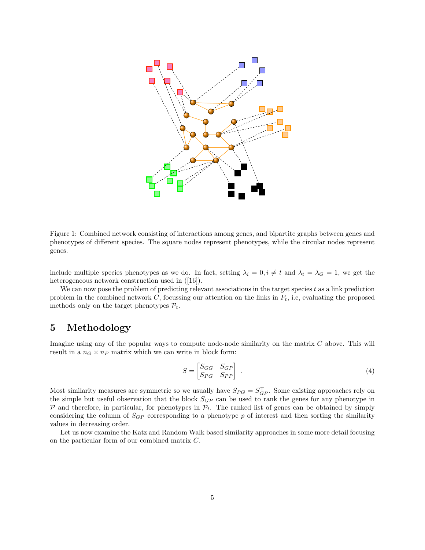

Figure 1: Combined network consisting of interactions among genes, and bipartite graphs between genes and phenotypes of different species. The square nodes represent phenotypes, while the circular nodes represent genes.

include multiple species phenotypes as we do. In fact, setting  $\lambda_i = 0, i \neq t$  and  $\lambda_t = \lambda_G = 1$ , we get the heterogeneous network construction used in  $([16])$ .

We can now pose the problem of predicting relevant associations in the target species  $t$  as a link prediction problem in the combined network  $C$ , focussing our attention on the links in  $P_t$ , i.e, evaluating the proposed methods only on the target phenotypes  $P_t$ .

# 5 Methodology

Imagine using any of the popular ways to compute node-node similarity on the matrix C above. This will result in a  $n_G \times n_P$  matrix which we can write in block form:

$$
S = \begin{bmatrix} S_{GG} & S_{GP} \\ S_{PG} & S_{PP} \end{bmatrix} . \tag{4}
$$

Most similarity measures are symmetric so we usually have  $S_{PG} = S_{GP}^{\top}$ . Some existing approaches rely on the simple but useful observation that the block  $S_{GP}$  can be used to rank the genes for any phenotype in  $P$  and therefore, in particular, for phenotypes in  $P_t$ . The ranked list of genes can be obtained by simply considering the column of  $S_{GP}$  corresponding to a phenotype p of interest and then sorting the similarity values in decreasing order.

Let us now examine the Katz and Random Walk based similarity approaches in some more detail focusing on the particular form of our combined matrix C.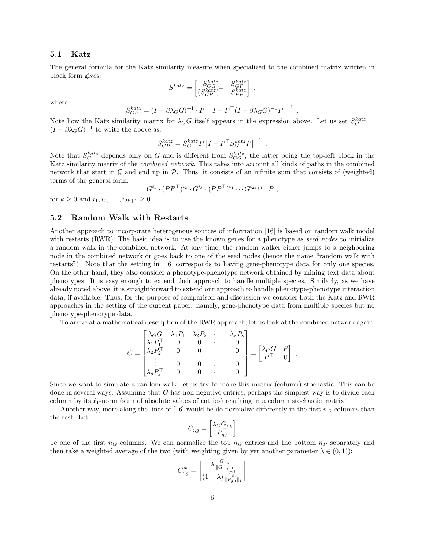#### 5.1 Katz

The general formula for the Katz similarity measure when specialized to the combined matrix written in block form gives:

$$
S^{katz}=\begin{bmatrix} S^{katz}_{GG} & S^{katz}_{GP} \\ (S^{katz}_{GP})^\top & S^{katz}_{PP} \end{bmatrix}
$$

,

.

.

where

$$
S_{GP}^{katz} = (I - \beta \lambda_G G)^{-1} \cdot P \cdot \left[ I - P^{\top} (I - \beta \lambda_G G)^{-1} P \right]^{-1}
$$

Note how the Katz similarity matrix for  $\lambda_G G$  itself appears in the expression above. Let us set  $S_G^{katz}$  =  $(I - \beta \lambda_G G)^{-1}$  to write the above as:

$$
S_{GP}^{katz} = S_G^{katz} P \left[ I - P^\top S_G^{katz} P \right]^{-1}
$$

Note that  $S_G^{katz}$  depends only on G and is different from  $S_{GG}^{katz}$ , the latter being the top-left block in the Katz similarity matrix of the *combined network*. This takes into account all kinds of paths in the combined network that start in  $\mathcal G$  and end up in  $\mathcal P$ . Thus, it consists of an infinite sum that consists of (weighted) terms of the general form:

$$
G^{i_1} \cdot (PP^{\top})^{i_2} \cdot G^{i_3} \cdot (PP^{\top})^{i_4} \cdots G^{i_{2k+1}} \cdot P
$$
,

for  $k > 0$  and  $i_1, i_2, \ldots, i_{2k+1} > 0$ .

#### 5.2 Random Walk with Restarts

Another approach to incorporate heterogenous sources of information [16] is based on random walk model with restarts (RWR). The basic idea is to use the known genes for a phenotype as seed nodes to initialize a random walk in the combined network. At any time, the random walker either jumps to a neighboring node in the combined network or goes back to one of the seed nodes (hence the name "random walk with restarts"). Note that the setting in [16] corresponds to having gene-phenotype data for only one species. On the other hand, they also consider a phenotype-phenotype network obtained by mining text data about phenotypes. It is easy enough to extend their approach to handle multiple species. Similarly, as we have already noted above, it is straightforward to extend our approach to handle phenotype-phenotype interaction data, if available. Thus, for the purpose of comparison and discussion we consider both the Katz and RWR approaches in the setting of the current paper: namely, gene-phenotype data from multiple species but no phenotype-phenotype data.

To arrive at a mathematical description of the RWR approach, let us look at the combined network again:

$$
C = \begin{bmatrix} \lambda_G G & \lambda_1 P_1 & \lambda_2 P_2 & \cdots & \lambda_s P_s \\ \lambda_1 P_1^\top & 0 & 0 & \cdots & 0 \\ \lambda_2 P_2^\top & 0 & 0 & \cdots & 0 \\ \vdots & 0 & 0 & \cdots & 0 \\ \lambda_s P_s^\top & 0 & 0 & \cdots & 0 \end{bmatrix} = \begin{bmatrix} \lambda_G G & P \\ P^\top & 0 \end{bmatrix},
$$

Since we want to simulate a random walk, let us try to make this matrix (column) stochastic. This can be done in several ways. Assuming that  $G$  has non-negative entries, perhaps the simplest way is to divide each column by its  $\ell_1$ -norm (sum of absolute values of entries) resulting in a column stochastic matrix.

Another way, more along the lines of [16] would be do normalize differently in the first  $n_G$  columns than the rest. Let

$$
C_{:,g} = \begin{bmatrix} \lambda_G G_{:,g} \\ P_{g,:}^\top \end{bmatrix}
$$

be one of the first  $n<sub>G</sub>$  columns. We can normalize the top  $n<sub>G</sub>$  entries and the bottom  $n<sub>P</sub>$  separately and then take a weighted average of the two (with weighting given by yet another parameter  $\lambda \in (0,1)$ ):

$$
C_{:,g}^N = \begin{bmatrix} \lambda \frac{G_{:,g}}{\|G_{:,g}\|_1} \\ (1-\lambda) \frac{P_{g,:}}{\|P_{g,:}\|_1} \end{bmatrix}
$$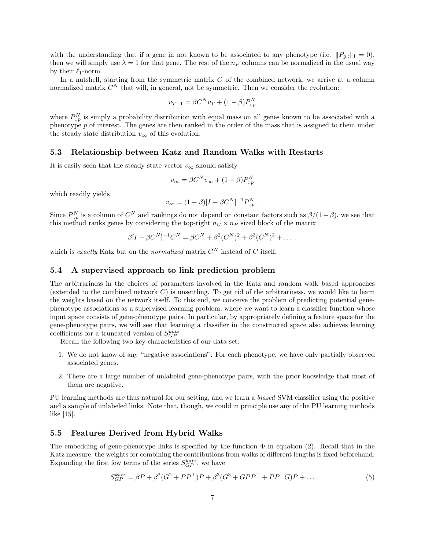with the understanding that if a gene in not known to be associated to any phenotype (i.e.  $||P_{a,:}||_1 = 0$ ), then we will simply use  $\lambda = 1$  for that gene. The rest of the  $n_P$  columns can be normalized in the usual way by their  $\ell_1$ -norm.

In a nutshell, starting from the symmetric matrix  $C$  of the combined network, we arrive at a column normalized matrix  $C^N$  that will, in general, not be symmetric. Then we consider the evolution:

$$
v_{T+1} = \beta C^N v_T + (1 - \beta) P_{:,p}^N
$$

where  $P_{:,p}^N$  is simply a probability distribution with equal mass on all genes known to be associated with a phenotype  $p$  of interest. The genes are then ranked in the order of the mass that is assigned to them under the steady state distribution  $v_{\infty}$  of this evolution.

#### 5.3 Relationship between Katz and Random Walks with Restarts

It is easily seen that the steady state vector  $v_{\infty}$  should satisfy

$$
v_{\infty} = \beta C^N v_{\infty} + (1 - \beta) P_{:,p}^N
$$

which readily yields

$$
v_{\infty} = (1 - \beta)[I - \beta C^{N}]^{-1} P_{:,p}^{N} .
$$

Since  $P_{:,p}^N$  is a column of  $C^N$  and rankings do not depend on constant factors such as  $\beta/(1-\beta)$ , we see that this method ranks genes by considering the top-right  $n_G \times n_P$  sized block of the matrix

$$
\beta[I - \beta C^N]^{-1}C^N = \beta C^N + \beta^2 (C^N)^2 + \beta^3 (C^N)^3 + \dots
$$

which is exactly Katz but on the normalized matrix  $C^N$  instead of C itself.

#### 5.4 A supervised approach to link prediction problem

The arbitrariness in the choices of parameters involved in the Katz and random walk based approaches (extended to the combined network  $C$ ) is unsettling. To get rid of the arbitrariness, we would like to learn the weights based on the network itself. To this end, we conceive the problem of predicting potential genephenotype associations as a supervised learning problem, where we want to learn a classifier function whose input space consists of gene-phenotype pairs. In particular, by appropriately defining a feature space for the gene-phenotype pairs, we will see that learning a classifier in the constructed space also achieves learning coefficients for a truncated version of  $S_{GP}^{katz}$ .

Recall the following two key characteristics of our data set:

- 1. We do not know of any "negative associations". For each phenotype, we have only partially observed associated genes.
- 2. There are a large number of unlabeled gene-phenotype pairs, with the prior knowledge that most of them are negative.

PU learning methods are thus natural for our setting, and we learn a biased SVM classifier using the positive and a sample of unlabeled links. Note that, though, we could in principle use any of the PU learning methods like [15].

#### 5.5 Features Derived from Hybrid Walks

The embedding of gene-phenotype links is specified by the function  $\Phi$  in equation (2). Recall that in the Katz measure, the weights for combining the contributions from walks of different lengths is fixed beforehand. Expanding the first few terms of the series  $S_{GP}^{katz}$ , we have

$$
S_{GP}^{katz} = \beta P + \beta^2 (G^2 + PP^\top) P + \beta^3 (G^3 + GPP^\top + PP^\top G) P + \dots
$$
\n(5)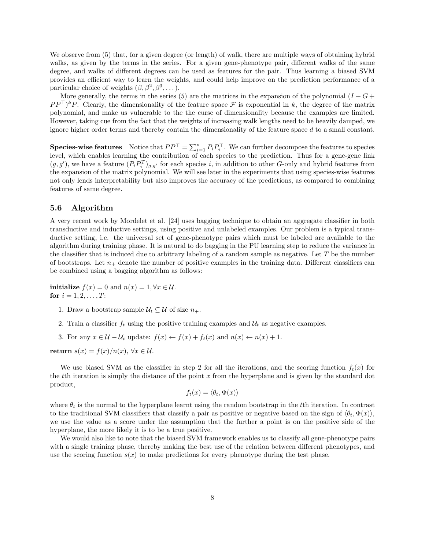We observe from (5) that, for a given degree (or length) of walk, there are multiple ways of obtaining hybrid walks, as given by the terms in the series. For a given gene-phenotype pair, different walks of the same degree, and walks of different degrees can be used as features for the pair. Thus learning a biased SVM provides an efficient way to learn the weights, and could help improve on the prediction performance of a particular choice of weights  $(\beta, \beta^2, \beta^3, \dots)$ .

More generally, the terms in the series (5) are the matrices in the expansion of the polynomial  $(I + G +$  $PP^{\top}$ <sup>k</sup> $P$ . Clearly, the dimensionality of the feature space  $\mathcal F$  is exponential in k, the degree of the matrix polynomial, and make us vulnerable to the the curse of dimensionality because the examples are limited. However, taking cue from the fact that the weights of increasing walk lengths need to be heavily damped, we ignore higher order terms and thereby contain the dimensionality of the feature space  $d$  to a small constant.

**Species-wise features** Notice that  $PP^{\top} = \sum_{i=1}^{s} P_i P_i^{\top}$ . We can further decompose the features to species level, which enables learning the contribution of each species to the prediction. Thus for a gene-gene link  $(g, g')$ , we have a feature  $(P_i P_i^T)_{g,g'}$  for each species i, in addition to other G-only and hybrid features from the expansion of the matrix polynomial. We will see later in the experiments that using species-wise features not only lends interpretability but also improves the accuracy of the predictions, as compared to combining features of same degree.

#### 5.6 Algorithm

A very recent work by Mordelet et al. [24] uses bagging technique to obtain an aggregate classifier in both transductive and inductive settings, using positive and unlabeled examples. Our problem is a typical transductive setting, i.e. the universal set of gene-phenotype pairs which must be labeled are available to the algorithm during training phase. It is natural to do bagging in the PU learning step to reduce the variance in the classifier that is induced due to arbitrary labeling of a random sample as negative. Let  $T$  be the number of bootstraps. Let  $n_+$  denote the number of positive examples in the training data. Different classifiers can be combined using a bagging algorithm as follows:

initialize  $f(x) = 0$  and  $n(x) = 1, \forall x \in \mathcal{U}$ . for  $i = 1, 2, ..., T$ :

- 1. Draw a bootstrap sample  $\mathcal{U}_t \subseteq \mathcal{U}$  of size  $n_+$ .
- 2. Train a classifier  $f_t$  using the positive training examples and  $\mathcal{U}_t$  as negative examples.
- 3. For any  $x \in \mathcal{U} \mathcal{U}_t$  update:  $f(x) \leftarrow f(x) + f_t(x)$  and  $n(x) \leftarrow n(x) + 1$ .

return  $s(x) = f(x)/n(x)$ ,  $\forall x \in \mathcal{U}$ .

We use biased SVM as the classifier in step 2 for all the iterations, and the scoring function  $f_t(x)$  for the the iteration is simply the distance of the point x from the hyperplane and is given by the standard dot product,

$$
f_t(x) = \langle \theta_t, \Phi(x) \rangle
$$

where  $\theta_t$  is the normal to the hyperplane learnt using the random bootstrap in the tth iteration. In contrast to the traditional SVM classifiers that classify a pair as positive or negative based on the sign of  $\langle \theta_t, \Phi(x) \rangle$ , we use the value as a score under the assumption that the further a point is on the positive side of the hyperplane, the more likely it is to be a true positive.

We would also like to note that the biased SVM framework enables us to classify all gene-phenotype pairs with a single training phase, thereby making the best use of the relation between different phenotypes, and use the scoring function  $s(x)$  to make predictions for every phenotype during the test phase.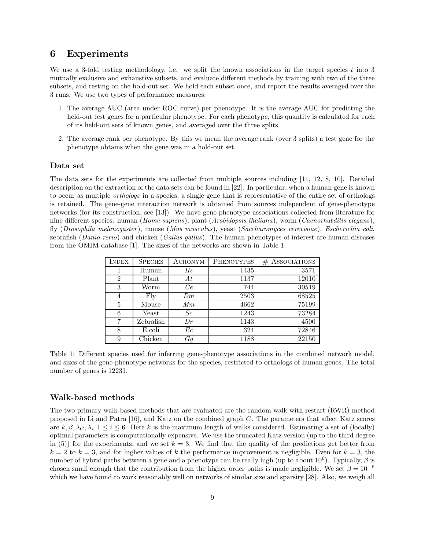### 6 Experiments

We use a 3-fold testing methodology, i.e. we split the known associations in the target species  $t$  into 3 mutually exclusive and exhaustive subsets, and evaluate different methods by training with two of the three subsets, and testing on the hold-out set. We hold each subset once, and report the results averaged over the 3 runs. We use two types of performance measures:

- 1. The average AUC (area under ROC curve) per phenotype. It is the average AUC for predicting the held-out test genes for a particular phenotype. For each phenotype, this quantity is calculated for each of its held-out sets of known genes, and averaged over the three splits.
- 2. The average rank per phenotype. By this we mean the average rank (over 3 splits) a test gene for the phenotype obtains when the gene was in a hold-out set.

#### Data set

The data sets for the experiments are collected from multiple sources including [11, 12, 8, 10]. Detailed description on the extraction of the data sets can be found in [22]. In particular, when a human gene is known to occur as multiple orthologs in a species, a single gene that is representative of the entire set of orthologs is retained. The gene-gene interaction network is obtained from sources independent of gene-phenotype networks (for its construction, see [13]). We have gene-phenotype associations collected from literature for nine different species: human (Home sapiens), plant (Arabidopsis thaliana), worm (Caenorhabditis elegans), fly (Drosophila melanogaster), mouse (Mus musculus), yeast (Saccharomyces cerevisiae), Escherichia coli, zebrafish (Danio rerio) and chicken (Gallus gallus). The human phenotypes of interest are human diseases from the OMIM database [1]. The sizes of the networks are shown in Table 1.

| <b>INDEX</b>   | <b>SPECIES</b> | ACRONYM | <b>PHENOTYPES</b> | $#$ ASSOCIATIONS |
|----------------|----------------|---------|-------------------|------------------|
|                | Human          | Hs      | 1435              | 3571             |
| $\overline{2}$ | Plant          | At      | 1137              | 12010            |
| 3              | Worm           | Ce      | 744               | 30519            |
| 4              | Fly            | Dm      | 2503              | 68525            |
| 5              | Mouse          | Mm      | 4662              | 75199            |
| 6              | Yeast          | Sc      | 1243              | 73284            |
| 7              | Zebrafish      | Dr      | 1143              | 4500             |
| 8              | E.coli         | Еc      | 324               | 72846            |
| 9              | Chicken        | Gg      | 1188              | 22150            |

Table 1: Different species used for inferring gene-phenotype associations in the combined network model, and sizes of the gene-phenotype networks for the species, restricted to orthologs of human genes. The total number of genes is 12231.

#### Walk-based methods

The two primary walk-based methods that are evaluated are the random walk with restart (RWR) method proposed in Li and Patra [16], and Katz on the combined graph C. The parameters that affect Katz scores are  $k, \beta, \lambda_G, \lambda_i, 1 \leq i \leq 6$ . Here k is the maximum length of walks considered. Estimating a set of (locally) optimal parameters is computationally expensive. We use the truncated Katz version (up to the third degree in (5)) for the experiments, and we set  $k = 3$ . We find that the quality of the predictions get better from  $k = 2$  to  $k = 3$ , and for higher values of k the performance improvement is negligible. Even for  $k = 3$ , the number of hybrid paths between a gene and a phenotype can be really high (up to about  $10^6$ ). Typically,  $\beta$  is chosen small enough that the contribution from the higher order paths is made negligible. We set  $\beta = 10^{-6}$ which we have found to work reasonably well on networks of similar size and sparsity [28]. Also, we weigh all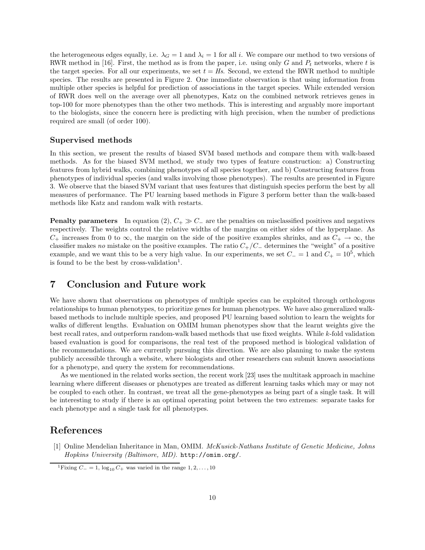the heterogeneous edges equally, i.e.  $\lambda_G = 1$  and  $\lambda_i = 1$  for all i. We compare our method to two versions of RWR method in [16]. First, the method as is from the paper, i.e. using only G and  $P_t$  networks, where t is the target species. For all our experiments, we set  $t = Hs$ . Second, we extend the RWR method to multiple species. The results are presented in Figure 2. One immediate observation is that using information from multiple other species is helpful for prediction of associations in the target species. While extended version of RWR does well on the average over all phenotypes, Katz on the combined network retrieves genes in top-100 for more phenotypes than the other two methods. This is interesting and arguably more important to the biologists, since the concern here is predicting with high precision, when the number of predictions required are small (of order 100).

#### Supervised methods

In this section, we present the results of biased SVM based methods and compare them with walk-based methods. As for the biased SVM method, we study two types of feature construction: a) Constructing features from hybrid walks, combining phenotypes of all species together, and b) Constructing features from phenotypes of individual species (and walks involving those phenotypes). The results are presented in Figure 3. We observe that the biased SVM variant that uses features that distinguish species perform the best by all measures of performance. The PU learning based methods in Figure 3 perform better than the walk-based methods like Katz and random walk with restarts.

**Penalty parameters** In equation (2),  $C_+ \gg C_-$  are the penalties on misclassified positives and negatives respectively. The weights control the relative widths of the margins on either sides of the hyperplane. As  $C_+$  increases from 0 to  $\infty$ , the margin on the side of the positive examples shrinks, and as  $C_+ \to \infty$ , the classifier makes no mistake on the positive examples. The ratio  $C_{+}/C_{-}$  determines the "weight" of a positive example, and we want this to be a very high value. In our experiments, we set  $C_ = 1$  and  $C_ + = 10^5$ , which is found to be the best by cross-validation<sup>1</sup>.

# 7 Conclusion and Future work

We have shown that observations on phenotypes of multiple species can be exploited through orthologous relationships to human phenotypes, to prioritize genes for human phenotypes. We have also generalized walkbased methods to include multiple species, and proposed PU learning based solution to learn the weights for walks of different lengths. Evaluation on OMIM human phenotypes show that the learnt weights give the best recall rates, and outperform random-walk based methods that use fixed weights. While k-fold validation based evaluation is good for comparisons, the real test of the proposed method is biological validation of the recommendations. We are currently pursuing this direction. We are also planning to make the system publicly accessible through a website, where biologists and other researchers can submit known associations for a phenotype, and query the system for recommendations.

As we mentioned in the related works section, the recent work [23] uses the multitask approach in machine learning where different diseases or phenotypes are treated as different learning tasks which may or may not be coupled to each other. In contrast, we treat all the gene-phenotypes as being part of a single task. It will be interesting to study if there is an optimal operating point between the two extremes: separate tasks for each phenotype and a single task for all phenotypes.

# References

[1] Online Mendelian Inheritance in Man, OMIM. McKusick-Nathans Institute of Genetic Medicine, Johns Hopkins University (Baltimore, MD). http://omim.org/.

<sup>&</sup>lt;sup>1</sup>Fixing  $C = 1$ ,  $\log_{10} C_+$  was varied in the range  $1, 2, ..., 10$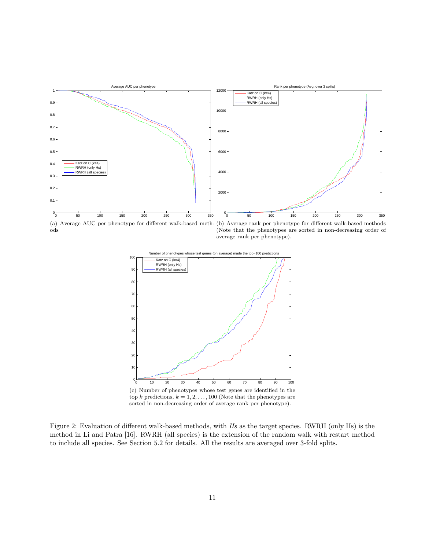

(a) Average AUC per phenotype for different walk-based meth-(b) Average rank per phenotype for different walk-based methods ods (Note that the phenotypes are sorted in non-decreasing order of average rank per phenotype).



top k predictions,  $k = 1, 2, ..., 100$  (Note that the phenotypes are sorted in non-decreasing order of average rank per phenotype).

Figure 2: Evaluation of different walk-based methods, with Hs as the target species. RWRH (only Hs) is the method in Li and Patra [16]. RWRH (all species) is the extension of the random walk with restart method to include all species. See Section 5.2 for details. All the results are averaged over 3-fold splits.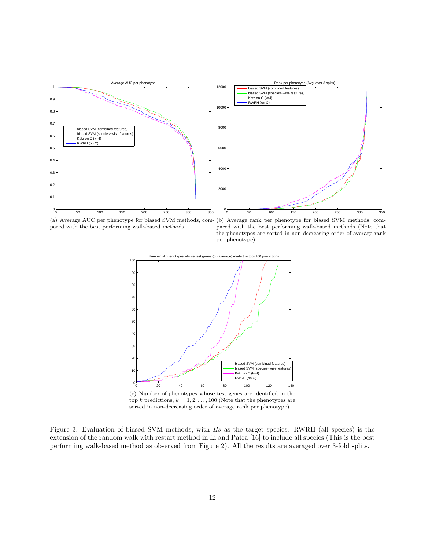

pared with the best performing walk-based methods

(a) Average AUC per phenotype for biased SVM methods, com-(b) Average rank per phenotype for biased SVM methods, compared with the best performing walk-based methods (Note that the phenotypes are sorted in non-decreasing order of average rank per phenotype).



(c) Number of phenotypes whose test genes are identified in the top $k$  predictions,  $k=1,2,\ldots,100$  (Note that the phenotypes are sorted in non-decreasing order of average rank per phenotype).

Figure 3: Evaluation of biased SVM methods, with Hs as the target species. RWRH (all species) is the extension of the random walk with restart method in Li and Patra [16] to include all species (This is the best performing walk-based method as observed from Figure 2). All the results are averaged over 3-fold splits.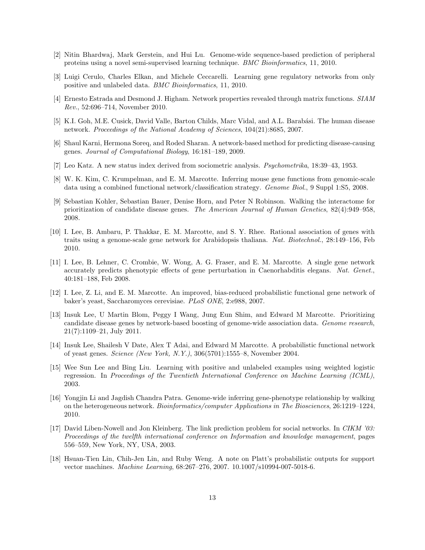- [2] Nitin Bhardwaj, Mark Gerstein, and Hui Lu. Genome-wide sequence-based prediction of peripheral proteins using a novel semi-supervised learning technique. BMC Bioinformatics, 11, 2010.
- [3] Luigi Cerulo, Charles Elkan, and Michele Ceccarelli. Learning gene regulatory networks from only positive and unlabeled data. BMC Bioinformatics, 11, 2010.
- [4] Ernesto Estrada and Desmond J. Higham. Network properties revealed through matrix functions. SIAM Rev., 52:696–714, November 2010.
- [5] K.I. Goh, M.E. Cusick, David Valle, Barton Childs, Marc Vidal, and A.L. Barabási. The human disease network. Proceedings of the National Academy of Sciences, 104(21):8685, 2007.
- [6] Shaul Karni, Hermona Soreq, and Roded Sharan. A network-based method for predicting disease-causing genes. Journal of Computational Biology, 16:181–189, 2009.
- [7] Leo Katz. A new status index derived from sociometric analysis. Psychometrika, 18:39–43, 1953.
- [8] W. K. Kim, C. Krumpelman, and E. M. Marcotte. Inferring mouse gene functions from genomic-scale data using a combined functional network/classification strategy. Genome Biol., 9 Suppl 1:S5, 2008.
- [9] Sebastian Kohler, Sebastian Bauer, Denise Horn, and Peter N Robinson. Walking the interactome for prioritization of candidate disease genes. The American Journal of Human Genetics, 82(4):949–958, 2008.
- [10] I. Lee, B. Ambaru, P. Thakkar, E. M. Marcotte, and S. Y. Rhee. Rational association of genes with traits using a genome-scale gene network for Arabidopsis thaliana. Nat. Biotechnol., 28:149–156, Feb 2010.
- [11] I. Lee, B. Lehner, C. Crombie, W. Wong, A. G. Fraser, and E. M. Marcotte. A single gene network accurately predicts phenotypic effects of gene perturbation in Caenorhabditis elegans. Nat. Genet., 40:181–188, Feb 2008.
- [12] I. Lee, Z. Li, and E. M. Marcotte. An improved, bias-reduced probabilistic functional gene network of baker's yeast, Saccharomyces cerevisiae. PLoS ONE, 2:e988, 2007.
- [13] Insuk Lee, U Martin Blom, Peggy I Wang, Jung Eun Shim, and Edward M Marcotte. Prioritizing candidate disease genes by network-based boosting of genome-wide association data. Genome research, 21(7):1109–21, July 2011.
- [14] Insuk Lee, Shailesh V Date, Alex T Adai, and Edward M Marcotte. A probabilistic functional network of yeast genes. Science (New York, N.Y.), 306(5701):1555–8, November 2004.
- [15] Wee Sun Lee and Bing Liu. Learning with positive and unlabeled examples using weighted logistic regression. In Proceedings of the Twentieth International Conference on Machine Learning (ICML), 2003.
- [16] Yongjin Li and Jagdish Chandra Patra. Genome-wide inferring gene-phenotype relationship by walking on the heterogeneous network. Bioinformatics/computer Applications in The Biosciences, 26:1219–1224, 2010.
- [17] David Liben-Nowell and Jon Kleinberg. The link prediction problem for social networks. In CIKM '03: Proceedings of the twelfth international conference on Information and knowledge management, pages 556–559, New York, NY, USA, 2003.
- [18] Hsuan-Tien Lin, Chih-Jen Lin, and Ruby Weng. A note on Platt's probabilistic outputs for support vector machines. Machine Learning, 68:267–276, 2007. 10.1007/s10994-007-5018-6.